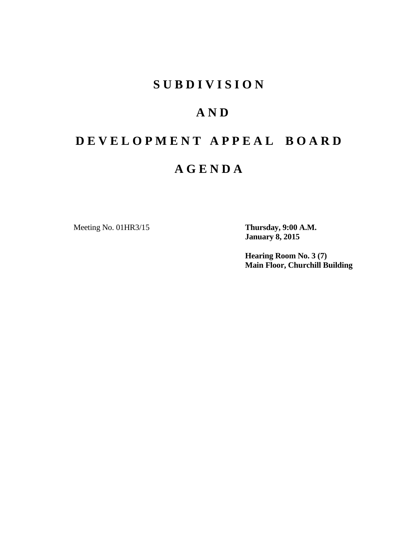### **S U B D I V I S I O N**

### **A N D**

# **D E V E L O P M E N T A P P E A L B O A R D**

### **A G E N D A**

Meeting No. 01HR3/15 **Thursday, 9:00 A.M.**

**January 8, 2015** 

**Hearing Room No. 3 (7) Main Floor, Churchill Building**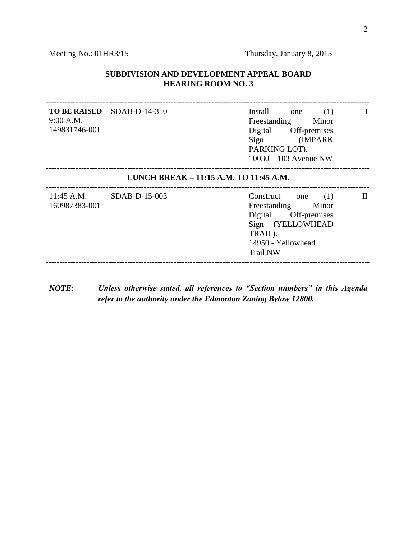#### **SUBDIVISION AND DEVELOPMENT APPEAL BOARD HEARING ROOM NO. 3**

**----------------------------------------------------------------------------------------------------------------------- TO BE RAISED** 9:00 A.M. 149831746-001  $Install$  one (1) Freestanding Minor Digital Off-premises Sign (IMPARK PARKING LOT). 10030 – 103 Avenue NW I ----------------------------------------------------------------------------------------------------------------------- **LUNCH BREAK – 11:15 A.M. TO 11:45 A.M.** ----------------------------------------------------------------------------------------------------------------------- 11:45 A.M. 160987383-001  $Construct one (1)$ Freestanding Minor Digital Off-premises Sign (YELLOWHEAD TRAIL). 14950 - Yellowhead Trail NW II -----------------------------------------------------------------------------------------------------------------------

*NOTE: Unless otherwise stated, all references to "Section numbers" in this Agenda refer to the authority under the Edmonton Zoning Bylaw 12800.*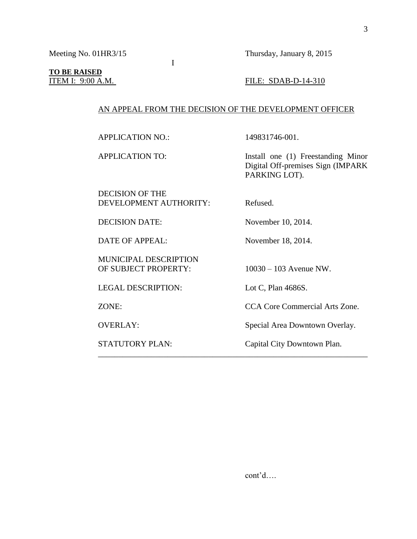## **TO BE RAISED**

#### **ITEM I: 9:00 A.M. FILE: SDAB-D-14-310**

#### AN APPEAL FROM THE DECISION OF THE DEVELOPMENT OFFICER

APPLICATION NO.: 149831746-001.

APPLICATION TO: Install one (1) Freestanding Minor

DECISION OF THE DEVELOPMENT AUTHORITY: Refused.

MUNICIPAL DESCRIPTION

I

DECISION DATE: November 10, 2014.

DATE OF APPEAL: November 18, 2014.

PARKING LOT).

OF SUBJECT PROPERTY: 10030 – 103 Avenue NW.

LEGAL DESCRIPTION: Lot C, Plan 4686S.

\_\_\_\_\_\_\_\_\_\_\_\_\_\_\_\_\_\_\_\_\_\_\_\_\_\_\_\_\_\_\_\_\_\_\_\_\_\_\_\_\_\_\_\_\_\_\_\_\_\_\_\_\_\_\_\_\_\_\_\_\_\_\_\_\_\_

ZONE: CCA Core Commercial Arts Zone.

Digital Off-premises Sign (IMPARK

OVERLAY: Special Area Downtown Overlay.

STATUTORY PLAN: Capital City Downtown Plan.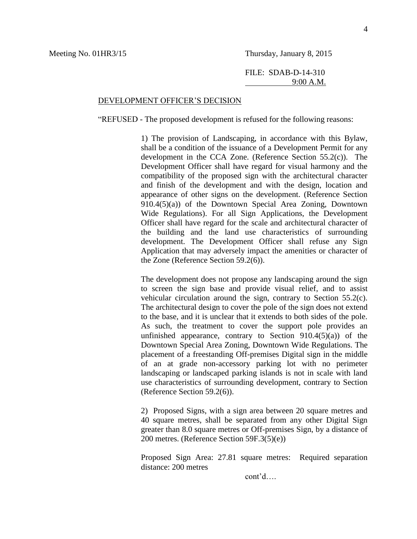FILE: SDAB-D-14-310 9:00 A.M.

#### DEVELOPMENT OFFICER'S DECISION

"REFUSED - The proposed development is refused for the following reasons:

1) The provision of Landscaping, in accordance with this Bylaw, shall be a condition of the issuance of a Development Permit for any development in the CCA Zone. (Reference Section 55.2(c)). The Development Officer shall have regard for visual harmony and the compatibility of the proposed sign with the architectural character and finish of the development and with the design, location and appearance of other signs on the development. (Reference Section 910.4(5)(a)) of the Downtown Special Area Zoning, Downtown Wide Regulations). For all Sign Applications, the Development Officer shall have regard for the scale and architectural character of the building and the land use characteristics of surrounding development. The Development Officer shall refuse any Sign Application that may adversely impact the amenities or character of the Zone (Reference Section 59.2(6)).

The development does not propose any landscaping around the sign to screen the sign base and provide visual relief, and to assist vehicular circulation around the sign, contrary to Section 55.2(c). The architectural design to cover the pole of the sign does not extend to the base, and it is unclear that it extends to both sides of the pole. As such, the treatment to cover the support pole provides an unfinished appearance, contrary to Section  $910.4(5)(a)$  of the Downtown Special Area Zoning, Downtown Wide Regulations. The placement of a freestanding Off-premises Digital sign in the middle of an at grade non-accessory parking lot with no perimeter landscaping or landscaped parking islands is not in scale with land use characteristics of surrounding development, contrary to Section (Reference Section 59.2(6)).

2) Proposed Signs, with a sign area between 20 square metres and 40 square metres, shall be separated from any other Digital Sign greater than 8.0 square metres or Off-premises Sign, by a distance of 200 metres. (Reference Section 59F.3(5)(e))

Proposed Sign Area: 27.81 square metres: Required separation distance: 200 metres

cont'd….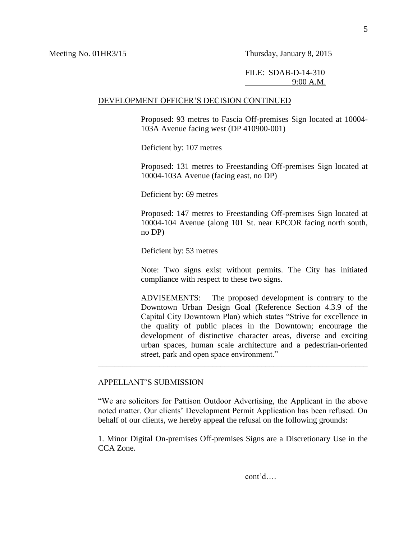#### FILE: SDAB-D-14-310 9:00 A.M.

#### DEVELOPMENT OFFICER'S DECISION CONTINUED

Proposed: 93 metres to Fascia Off-premises Sign located at 10004- 103A Avenue facing west (DP 410900-001)

Deficient by: 107 metres

Proposed: 131 metres to Freestanding Off-premises Sign located at 10004-103A Avenue (facing east, no DP)

Deficient by: 69 metres

Proposed: 147 metres to Freestanding Off-premises Sign located at 10004-104 Avenue (along 101 St. near EPCOR facing north south, no DP)

Deficient by: 53 metres

Note: Two signs exist without permits. The City has initiated compliance with respect to these two signs.

ADVISEMENTS: The proposed development is contrary to the Downtown Urban Design Goal (Reference Section 4.3.9 of the Capital City Downtown Plan) which states "Strive for excellence in the quality of public places in the Downtown; encourage the development of distinctive character areas, diverse and exciting urban spaces, human scale architecture and a pedestrian-oriented street, park and open space environment."

#### APPELLANT'S SUBMISSION

"We are solicitors for Pattison Outdoor Advertising, the Applicant in the above noted matter. Our clients' Development Permit Application has been refused. On behalf of our clients, we hereby appeal the refusal on the following grounds:

\_\_\_\_\_\_\_\_\_\_\_\_\_\_\_\_\_\_\_\_\_\_\_\_\_\_\_\_\_\_\_\_\_\_\_\_\_\_\_\_\_\_\_\_\_\_\_\_\_\_\_\_\_\_\_\_\_\_\_\_\_\_\_\_\_\_

1. Minor Digital On-premises Off-premises Signs are a Discretionary Use in the CCA Zone.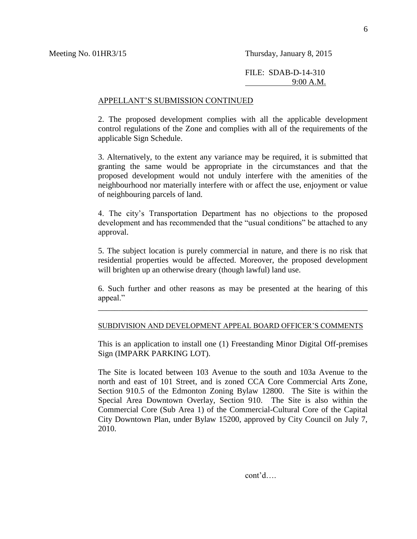#### APPELLANT'S SUBMISSION CONTINUED

2. The proposed development complies with all the applicable development control regulations of the Zone and complies with all of the requirements of the applicable Sign Schedule.

3. Alternatively, to the extent any variance may be required, it is submitted that granting the same would be appropriate in the circumstances and that the proposed development would not unduly interfere with the amenities of the neighbourhood nor materially interfere with or affect the use, enjoyment or value of neighbouring parcels of land.

4. The city's Transportation Department has no objections to the proposed development and has recommended that the "usual conditions" be attached to any approval.

5. The subject location is purely commercial in nature, and there is no risk that residential properties would be affected. Moreover, the proposed development will brighten up an otherwise dreary (though lawful) land use.

6. Such further and other reasons as may be presented at the hearing of this appeal."

\_\_\_\_\_\_\_\_\_\_\_\_\_\_\_\_\_\_\_\_\_\_\_\_\_\_\_\_\_\_\_\_\_\_\_\_\_\_\_\_\_\_\_\_\_\_\_\_\_\_\_\_\_\_\_\_\_\_\_\_\_\_\_\_\_\_

#### SUBDIVISION AND DEVELOPMENT APPEAL BOARD OFFICER'S COMMENTS

This is an application to install one (1) Freestanding Minor Digital Off-premises Sign (IMPARK PARKING LOT).

The Site is located between 103 Avenue to the south and 103a Avenue to the north and east of 101 Street, and is zoned CCA Core Commercial Arts Zone, Section 910.5 of the Edmonton Zoning Bylaw 12800. The Site is within the Special Area Downtown Overlay, Section 910. The Site is also within the Commercial Core (Sub Area 1) of the Commercial-Cultural Core of the Capital City Downtown Plan, under Bylaw 15200, approved by City Council on July 7, 2010.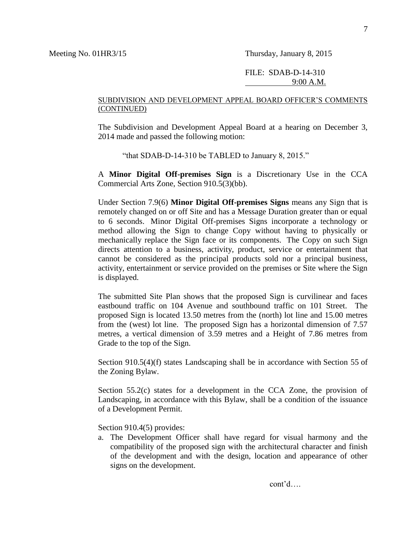#### SUBDIVISION AND DEVELOPMENT APPEAL BOARD OFFICER'S COMMENTS (CONTINUED)

The Subdivision and Development Appeal Board at a hearing on December 3, 2014 made and passed the following motion:

"that SDAB-D-14-310 be TABLED to January 8, 2015."

A **Minor Digital Off-premises Sign** is a Discretionary Use in the CCA Commercial Arts Zone, Section 910.5(3)(bb).

Under Section 7.9(6) **Minor Digital Off-premises Signs** means any Sign that is remotely changed on or off Site and has a Message Duration greater than or equal to 6 seconds. Minor Digital Off-premises Signs incorporate a technology or method allowing the Sign to change Copy without having to physically or mechanically replace the Sign face or its components. The Copy on such Sign directs attention to a business, activity, product, service or entertainment that cannot be considered as the principal products sold nor a principal business, activity, entertainment or service provided on the premises or Site where the Sign is displayed.

The submitted Site Plan shows that the proposed Sign is curvilinear and faces eastbound traffic on 104 Avenue and southbound traffic on 101 Street. The proposed Sign is located 13.50 metres from the (north) lot line and 15.00 metres from the (west) lot line. The proposed Sign has a horizontal dimension of 7.57 metres, a vertical dimension of 3.59 metres and a Height of 7.86 metres from Grade to the top of the Sign.

Section 910.5(4)(f) states Landscaping shall be in accordance with [Section 55](http://webdocs.edmonton.ca/InfraPlan/zoningbylaw/ZoningBylaw/Part1/Development/55__Landscaping.htm) of the Zoning Bylaw.

Section 55.2(c) states for a development in the CCA Zone, the provision of Landscaping, in accordance with this Bylaw, shall be a condition of the issuance of a Development Permit.

Section 910.4(5) provides:

a. The Development Officer shall have regard for visual harmony and the compatibility of the proposed sign with the architectural character and finish of the development and with the design, location and appearance of other signs on the development.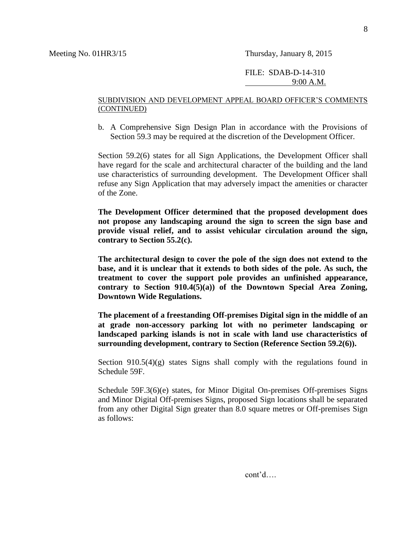#### SUBDIVISION AND DEVELOPMENT APPEAL BOARD OFFICER'S COMMENTS (CONTINUED)

b. A Comprehensive Sign Design Plan in accordance with the Provisions of Section 59.3 may be required at the discretion of the Development Officer.

Section 59.2(6) states for all Sign Applications, the Development Officer shall have regard for the scale and architectural character of the building and the land use characteristics of surrounding development. The Development Officer shall refuse any Sign Application that may adversely impact the amenities or character of the Zone.

**The Development Officer determined that the proposed development does not propose any landscaping around the sign to screen the sign base and provide visual relief, and to assist vehicular circulation around the sign, contrary to Section 55.2(c).** 

**The architectural design to cover the pole of the sign does not extend to the base, and it is unclear that it extends to both sides of the pole. As such, the treatment to cover the support pole provides an unfinished appearance, contrary to Section 910.4(5)(a)) of the Downtown Special Area Zoning, Downtown Wide Regulations.** 

**The placement of a freestanding Off-premises Digital sign in the middle of an at grade non-accessory parking lot with no perimeter landscaping or landscaped parking islands is not in scale with land use characteristics of surrounding development, contrary to Section (Reference Section 59.2(6)).**

Section  $910.5(4)(g)$  states Signs shall comply with the regulations found in Schedule 59F.

Schedule 59F.3(6)(e) states, for Minor Digital On-premises Off-premises Signs and Minor Digital Off-premises Signs, proposed Sign locations shall be separated from any other Digital Sign greater than 8.0 square metres or Off-premises Sign as follows: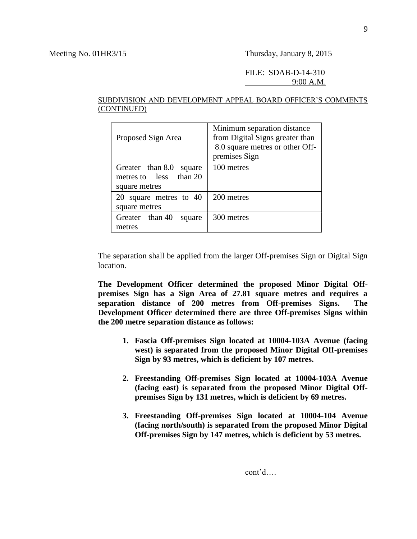#### FILE: SDAB-D-14-310 9:00 A.M.

#### SUBDIVISION AND DEVELOPMENT APPEAL BOARD OFFICER'S COMMENTS (CONTINUED)

| Proposed Sign Area                                                       | Minimum separation distance<br>from Digital Signs greater than<br>8.0 square metres or other Off-<br>premises Sign |
|--------------------------------------------------------------------------|--------------------------------------------------------------------------------------------------------------------|
| Greater than 8.0<br>square<br>than 20<br>metres to less<br>square metres | 100 metres                                                                                                         |
| square metres to 40<br>square metres                                     | 200 metres                                                                                                         |
| Greater than 40<br>square<br>metres                                      | 300 metres                                                                                                         |

The separation shall be applied from the larger Off-premises Sign or Digital Sign location.

**The Development Officer determined the proposed Minor Digital Offpremises Sign has a Sign Area of 27.81 square metres and requires a separation distance of 200 metres from Off-premises Signs. The Development Officer determined there are three Off-premises Signs within the 200 metre separation distance as follows:**

- **1. Fascia Off-premises Sign located at 10004-103A Avenue (facing west) is separated from the proposed Minor Digital Off-premises Sign by 93 metres, which is deficient by 107 metres.**
- **2. Freestanding Off-premises Sign located at 10004-103A Avenue (facing east) is separated from the proposed Minor Digital Offpremises Sign by 131 metres, which is deficient by 69 metres.**
- **3. Freestanding Off-premises Sign located at 10004-104 Avenue (facing north/south) is separated from the proposed Minor Digital Off-premises Sign by 147 metres, which is deficient by 53 metres.**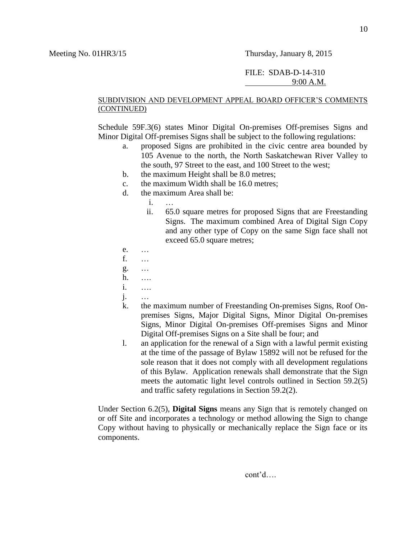#### FILE: SDAB-D-14-310 9:00 A.M.

#### SUBDIVISION AND DEVELOPMENT APPEAL BOARD OFFICER'S COMMENTS (CONTINUED)

Schedule 59F.3(6) states Minor Digital On-premises Off-premises Signs and Minor Digital Off-premises Signs shall be subject to the following regulations:

- a. proposed Signs are prohibited in the civic centre area bounded by 105 Avenue to the north, the North Saskatchewan River Valley to the south, 97 Street to the east, and 100 Street to the west;
- b. the maximum Height shall be 8.0 metres;
- c. the maximum Width shall be 16.0 metres;
- d. the maximum Area shall be:
	- i. …
	- ii. 65.0 square metres for proposed Signs that are Freestanding Signs. The maximum combined Area of Digital Sign Copy and any other type of Copy on the same Sign face shall not exceed 65.0 square metres;
- e. …
- f. …
- g. …
- h. ….
- i. ….
- j. …
- k. the maximum number of Freestanding On-premises Signs, Roof Onpremises Signs, Major Digital Signs, Minor Digital On-premises Signs, Minor Digital On-premises Off-premises Signs and Minor Digital Off-premises Signs on a Site shall be four; and
- l. an application for the renewal of a Sign with a lawful permit existing at the time of the passage of Bylaw 15892 will not be refused for the sole reason that it does not comply with all development regulations of this Bylaw. Application renewals shall demonstrate that the Sign meets the automatic light level controls outlined in Section 59.2(5) and traffic safety regulations in Section 59.2(2).

Under Section 6.2(5), **Digital Signs** means any Sign that is remotely changed on or off Site and incorporates a technology or method allowing the Sign to change Copy without having to physically or mechanically replace the Sign face or its components.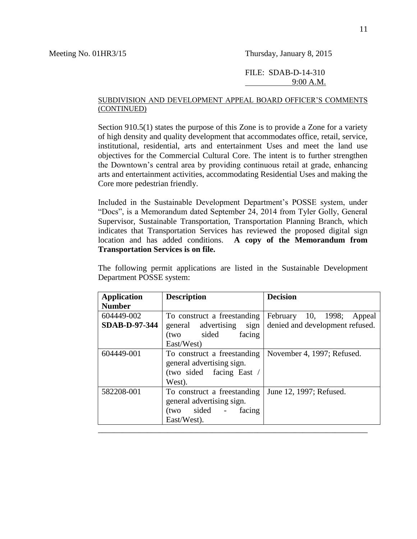#### SUBDIVISION AND DEVELOPMENT APPEAL BOARD OFFICER'S COMMENTS (CONTINUED)

Section 910.5(1) states the purpose of this Zone is to provide a Zone for a variety of high density and quality development that accommodates office, retail, service, institutional, residential, arts and entertainment Uses and meet the land use objectives for the Commercial Cultural Core. The intent is to further strengthen the Downtown's central area by providing continuous retail at grade, enhancing arts and entertainment activities, accommodating Residential Uses and making the Core more pedestrian friendly.

Included in the Sustainable Development Department's POSSE system, under "Docs", is a Memorandum dated September 24, 2014 from Tyler Golly, General Supervisor, Sustainable Transportation, Transportation Planning Branch, which indicates that Transportation Services has reviewed the proposed digital sign location and has added conditions. **A copy of the Memorandum from Transportation Services is on file.**

The following permit applications are listed in the Sustainable Development Department POSSE system:

| <b>Application</b><br><b>Number</b> | <b>Description</b>                                                                             | <b>Decision</b>                 |
|-------------------------------------|------------------------------------------------------------------------------------------------|---------------------------------|
| 604449-002                          | To construct a freestanding                                                                    | February 10, 1998; Appeal       |
| <b>SDAB-D-97-344</b>                | general advertising sign<br>(two sided<br>facing                                               | denied and development refused. |
|                                     | East/West)                                                                                     |                                 |
| 604449-001                          | To construct a freestanding<br>general advertising sign.<br>(two sided facing East /<br>West). | November 4, 1997; Refused.      |
| 582208-001                          | To construct a freestanding<br>general advertising sign.<br>(two sided - facing<br>East/West). | June 12, 1997; Refused.         |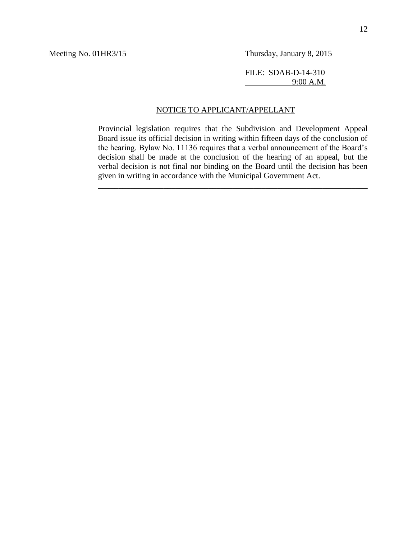FILE: SDAB-D-14-310 9:00 A.M.

#### NOTICE TO APPLICANT/APPELLANT

Provincial legislation requires that the Subdivision and Development Appeal Board issue its official decision in writing within fifteen days of the conclusion of the hearing. Bylaw No. 11136 requires that a verbal announcement of the Board's decision shall be made at the conclusion of the hearing of an appeal, but the verbal decision is not final nor binding on the Board until the decision has been given in writing in accordance with the Municipal Government Act.

\_\_\_\_\_\_\_\_\_\_\_\_\_\_\_\_\_\_\_\_\_\_\_\_\_\_\_\_\_\_\_\_\_\_\_\_\_\_\_\_\_\_\_\_\_\_\_\_\_\_\_\_\_\_\_\_\_\_\_\_\_\_\_\_\_\_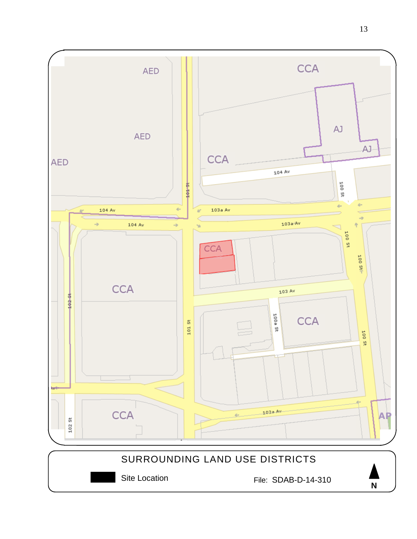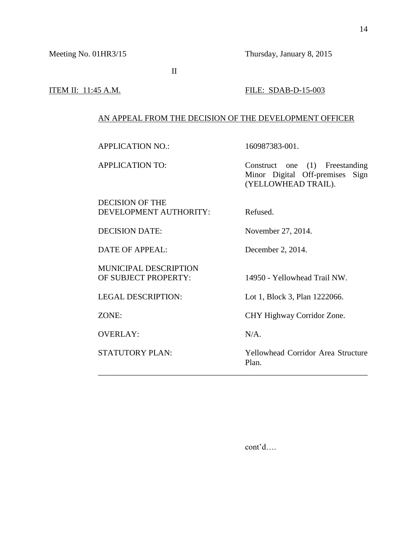II

#### **ITEM II:** 11:45 A.M. **FILE:** SDAB-D-15-003

#### AN APPEAL FROM THE DECISION OF THE DEVELOPMENT OFFICER

APPLICATION NO.: 160987383-001.

APPLICATION TO: Construct one (1) Freestanding Minor Digital Off-premises Sign (YELLOWHEAD TRAIL).

DECISION OF THE DEVELOPMENT AUTHORITY: Refused.

DATE OF APPEAL: December 2, 2014.

MUNICIPAL DESCRIPTION

OVERLAY: N/A.

DECISION DATE: November 27, 2014.

OF SUBJECT PROPERTY: 14950 - Yellowhead Trail NW.

LEGAL DESCRIPTION: Lot 1, Block 3, Plan 1222066.

ZONE: CHY Highway Corridor Zone.

\_\_\_\_\_\_\_\_\_\_\_\_\_\_\_\_\_\_\_\_\_\_\_\_\_\_\_\_\_\_\_\_\_\_\_\_\_\_\_\_\_\_\_\_\_\_\_\_\_\_\_\_\_\_\_\_\_\_\_\_\_\_\_\_\_\_

STATUTORY PLAN: Yellowhead Corridor Area Structure Plan.

cont'd….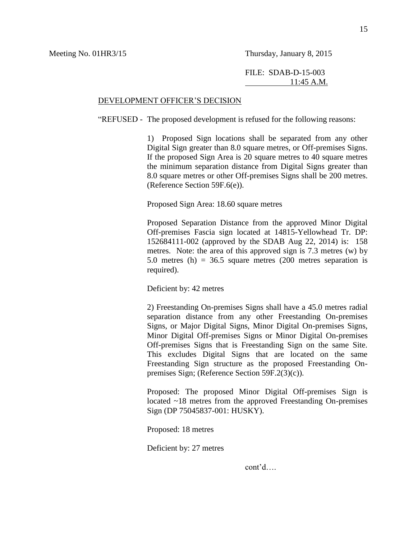#### DEVELOPMENT OFFICER'S DECISION

"REFUSED - The proposed development is refused for the following reasons:

1) Proposed Sign locations shall be separated from any other Digital Sign greater than 8.0 square metres, or Off-premises Signs. If the proposed Sign Area is 20 square metres to 40 square metres the minimum separation distance from Digital Signs greater than 8.0 square metres or other Off-premises Signs shall be 200 metres. (Reference Section 59F.6(e)).

Proposed Sign Area: 18.60 square metres

Proposed Separation Distance from the approved Minor Digital Off-premises Fascia sign located at 14815-Yellowhead Tr. DP: 152684111-002 (approved by the SDAB Aug 22, 2014) is: 158 metres. Note: the area of this approved sign is 7.3 metres (w) by 5.0 metres (h) =  $36.5$  square metres (200 metres separation is required).

Deficient by: 42 metres

2) Freestanding On-premises Signs shall have a 45.0 metres radial separation distance from any other Freestanding On-premises Signs, or Major Digital Signs, Minor Digital On-premises Signs, Minor Digital Off-premises Signs or Minor Digital On-premises Off-premises Signs that is Freestanding Sign on the same Site. This excludes Digital Signs that are located on the same Freestanding Sign structure as the proposed Freestanding Onpremises Sign; (Reference Section 59F.2(3)(c)).

Proposed: The proposed Minor Digital Off-premises Sign is located ~18 metres from the approved Freestanding On-premises Sign (DP 75045837-001: HUSKY).

Proposed: 18 metres

Deficient by: 27 metres

cont'd….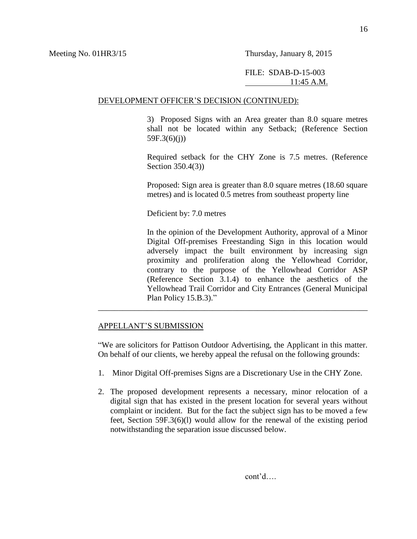#### DEVELOPMENT OFFICER'S DECISION (CONTINUED):

3) Proposed Signs with an Area greater than 8.0 square metres shall not be located within any Setback; (Reference Section 59F.3(6)(j))

Required setback for the CHY Zone is 7.5 metres. (Reference Section 350.4(3))

Proposed: Sign area is greater than 8.0 square metres (18.60 square metres) and is located 0.5 metres from southeast property line

Deficient by: 7.0 metres

In the opinion of the Development Authority, approval of a Minor Digital Off-premises Freestanding Sign in this location would adversely impact the built environment by increasing sign proximity and proliferation along the Yellowhead Corridor, contrary to the purpose of the Yellowhead Corridor ASP (Reference Section 3.1.4) to enhance the aesthetics of the Yellowhead Trail Corridor and City Entrances (General Municipal Plan Policy 15.B.3)."

#### APPELLANT'S SUBMISSION

"We are solicitors for Pattison Outdoor Advertising, the Applicant in this matter. On behalf of our clients, we hereby appeal the refusal on the following grounds:

\_\_\_\_\_\_\_\_\_\_\_\_\_\_\_\_\_\_\_\_\_\_\_\_\_\_\_\_\_\_\_\_\_\_\_\_\_\_\_\_\_\_\_\_\_\_\_\_\_\_\_\_\_\_\_\_\_\_\_\_\_\_\_\_\_\_

- 1. Minor Digital Off-premises Signs are a Discretionary Use in the CHY Zone.
- 2. The proposed development represents a necessary, minor relocation of a digital sign that has existed in the present location for several years without complaint or incident. But for the fact the subject sign has to be moved a few feet, Section 59F.3(6)(l) would allow for the renewal of the existing period notwithstanding the separation issue discussed below.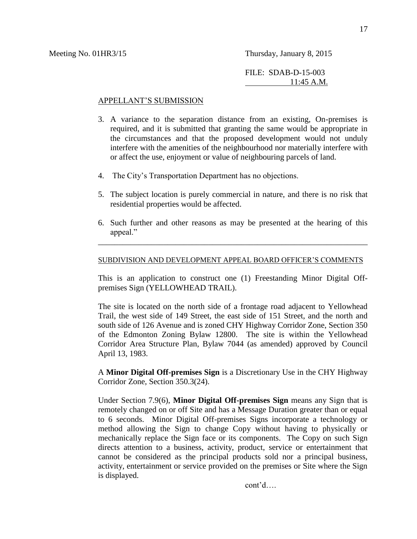#### APPELLANT'S SUBMISSION

- 3. A variance to the separation distance from an existing, On-premises is required, and it is submitted that granting the same would be appropriate in the circumstances and that the proposed development would not unduly interfere with the amenities of the neighbourhood nor materially interfere with or affect the use, enjoyment or value of neighbouring parcels of land.
- 4. The City's Transportation Department has no objections.
- 5. The subject location is purely commercial in nature, and there is no risk that residential properties would be affected.
- 6. Such further and other reasons as may be presented at the hearing of this appeal."

\_\_\_\_\_\_\_\_\_\_\_\_\_\_\_\_\_\_\_\_\_\_\_\_\_\_\_\_\_\_\_\_\_\_\_\_\_\_\_\_\_\_\_\_\_\_\_\_\_\_\_\_\_\_\_\_\_\_\_\_\_\_\_\_\_\_

#### SUBDIVISION AND DEVELOPMENT APPEAL BOARD OFFICER'S COMMENTS

This is an application to construct one (1) Freestanding Minor Digital Offpremises Sign (YELLOWHEAD TRAIL).

The site is located on the north side of a frontage road adjacent to Yellowhead Trail, the west side of 149 Street, the east side of 151 Street, and the north and south side of 126 Avenue and is zoned CHY Highway Corridor Zone, Section 350 of the Edmonton Zoning Bylaw 12800. The site is within the Yellowhead Corridor Area Structure Plan, Bylaw 7044 (as amended) approved by Council April 13, 1983.

A **Minor Digital Off-premises Sign** is a Discretionary Use in the CHY Highway Corridor Zone, Section 350.3(24).

Under Section 7.9(6), **Minor Digital Off-premises Sign** means any Sign that is remotely changed on or off Site and has a Message Duration greater than or equal to 6 seconds. Minor Digital Off-premises Signs incorporate a technology or method allowing the Sign to change Copy without having to physically or mechanically replace the Sign face or its components. The Copy on such Sign directs attention to a business, activity, product, service or entertainment that cannot be considered as the principal products sold nor a principal business, activity, entertainment or service provided on the premises or Site where the Sign is displayed.

cont'd….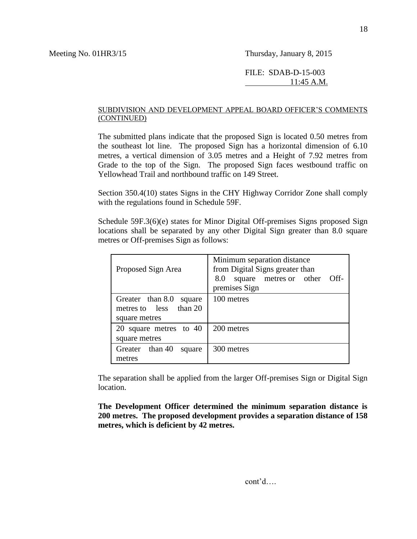#### FILE: SDAB-D-15-003 11:45 A.M.

#### SUBDIVISION AND DEVELOPMENT APPEAL BOARD OFFICER'S COMMENTS (CONTINUED)

The submitted plans indicate that the proposed Sign is located 0.50 metres from the southeast lot line. The proposed Sign has a horizontal dimension of 6.10 metres, a vertical dimension of 3.05 metres and a Height of 7.92 metres from Grade to the top of the Sign. The proposed Sign faces westbound traffic on Yellowhead Trail and northbound traffic on 149 Street.

Section 350.4(10) states Signs in the CHY Highway Corridor Zone shall comply with the regulations found in Schedule 59F.

Schedule 59F.3(6)(e) states for Minor Digital Off-premises Signs proposed Sign locations shall be separated by any other Digital Sign greater than 8.0 square metres or Off-premises Sign as follows:

| Proposed Sign Area                                                    | Minimum separation distance<br>from Digital Signs greater than<br>Off-<br>8.0<br>metres or other<br>square<br>premises Sign |  |  |  |
|-----------------------------------------------------------------------|-----------------------------------------------------------------------------------------------------------------------------|--|--|--|
| Greater than 8.0<br>square<br>metres to less than 20<br>square metres | 100 metres                                                                                                                  |  |  |  |
| 20 square metres to 40<br>square metres                               | 200 metres                                                                                                                  |  |  |  |
| Greater than 40<br>square<br>metres                                   | 300 metres                                                                                                                  |  |  |  |

The separation shall be applied from the larger Off-premises Sign or Digital Sign location.

**The Development Officer determined the minimum separation distance is 200 metres. The proposed development provides a separation distance of 158 metres, which is deficient by 42 metres.**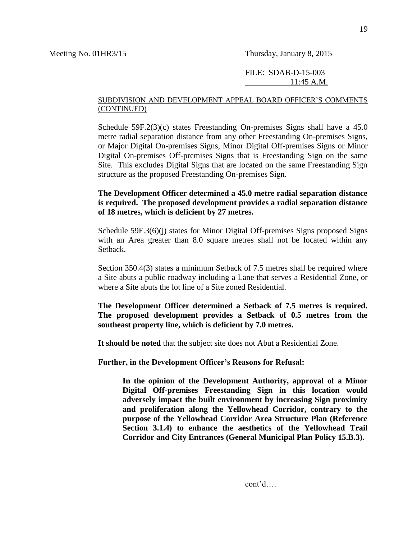#### SUBDIVISION AND DEVELOPMENT APPEAL BOARD OFFICER'S COMMENTS (CONTINUED)

Schedule 59F.2(3)(c) states Freestanding On-premises Signs shall have a 45.0 metre radial separation distance from any other Freestanding On-premises Signs, or Major Digital On-premises Signs, Minor Digital Off-premises Signs or Minor Digital On-premises Off-premises Signs that is Freestanding Sign on the same Site. This excludes Digital Signs that are located on the same Freestanding Sign structure as the proposed Freestanding On-premises Sign.

#### **The Development Officer determined a 45.0 metre radial separation distance is required. The proposed development provides a radial separation distance of 18 metres, which is deficient by 27 metres.**

Schedule 59F.3(6)(j) states for Minor Digital Off-premises Signs proposed Signs with an Area greater than 8.0 square metres shall not be located within any Setback.

Section 350.4(3) states a minimum Setback of 7.5 metres shall be required where a Site abuts a public roadway including a Lane that serves a Residential Zone, or where a Site abuts the lot line of a Site zoned Residential.

**The Development Officer determined a Setback of 7.5 metres is required. The proposed development provides a Setback of 0.5 metres from the southeast property line, which is deficient by 7.0 metres.**

**It should be noted** that the subject site does not Abut a Residential Zone.

**Further, in the Development Officer's Reasons for Refusal:**

**In the opinion of the Development Authority, approval of a Minor Digital Off-premises Freestanding Sign in this location would adversely impact the built environment by increasing Sign proximity and proliferation along the Yellowhead Corridor, contrary to the purpose of the Yellowhead Corridor Area Structure Plan (Reference Section 3.1.4) to enhance the aesthetics of the Yellowhead Trail Corridor and City Entrances (General Municipal Plan Policy 15.B.3).**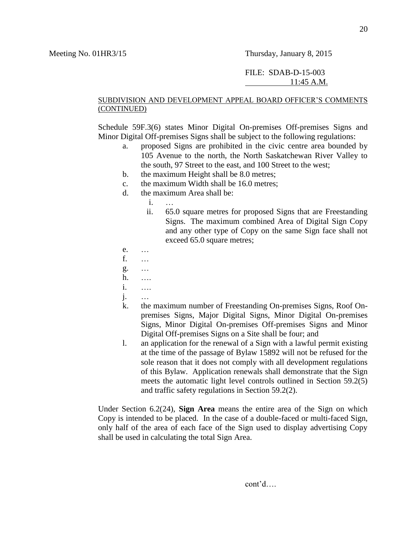#### FILE: SDAB-D-15-003 11:45 A.M.

#### SUBDIVISION AND DEVELOPMENT APPEAL BOARD OFFICER'S COMMENTS (CONTINUED)

Schedule 59F.3(6) states Minor Digital On-premises Off-premises Signs and Minor Digital Off-premises Signs shall be subject to the following regulations:

- a. proposed Signs are prohibited in the civic centre area bounded by 105 Avenue to the north, the North Saskatchewan River Valley to the south, 97 Street to the east, and 100 Street to the west;
- b. the maximum Height shall be 8.0 metres;
- c. the maximum Width shall be 16.0 metres;
- d. the maximum Area shall be:
	- i. …
	- ii. 65.0 square metres for proposed Signs that are Freestanding Signs. The maximum combined Area of Digital Sign Copy and any other type of Copy on the same Sign face shall not exceed 65.0 square metres;
- e. …
- f. …
- g. …
- h. ….
- i. ….
- j. …
- k. the maximum number of Freestanding On-premises Signs, Roof Onpremises Signs, Major Digital Signs, Minor Digital On-premises Signs, Minor Digital On-premises Off-premises Signs and Minor Digital Off-premises Signs on a Site shall be four; and
- l. an application for the renewal of a Sign with a lawful permit existing at the time of the passage of Bylaw 15892 will not be refused for the sole reason that it does not comply with all development regulations of this Bylaw. Application renewals shall demonstrate that the Sign meets the automatic light level controls outlined in Section 59.2(5) and traffic safety regulations in Section 59.2(2).

Under Section 6.2(24), **Sign Area** means the entire area of the Sign on which Copy is intended to be placed. In the case of a double-faced or multi-faced Sign, only half of the area of each face of the Sign used to display advertising Copy shall be used in calculating the total Sign Area.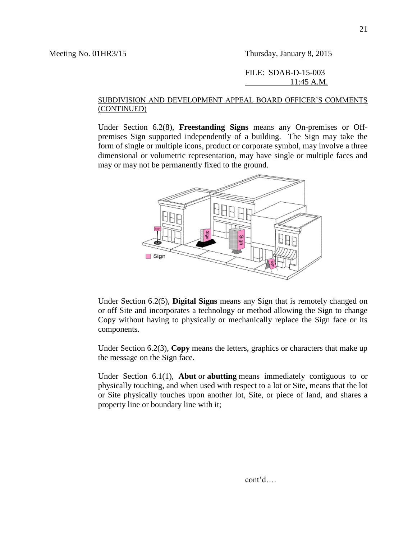#### FILE: SDAB-D-15-003 11:45 A.M.

#### SUBDIVISION AND DEVELOPMENT APPEAL BOARD OFFICER'S COMMENTS (CONTINUED)

Under Section 6.2(8), **Freestanding Signs** means any On-premises or Offpremises Sign supported independently of a building. The Sign may take the form of single or multiple icons, product or corporate symbol, may involve a three dimensional or volumetric representation, may have single or multiple faces and may or may not be permanently fixed to the ground.



Under Section 6.2(5), **Digital Signs** means any Sign that is remotely changed on or off Site and incorporates a technology or method allowing the Sign to change Copy without having to physically or mechanically replace the Sign face or its components.

Under Section 6.2(3), **Copy** means the letters, graphics or characters that make up the message on the Sign face.

Under Section 6.1(1), **Abut** or **abutting** means immediately contiguous to or physically touching, and when used with respect to a lot or Site, means that the lot or Site physically touches upon another lot, Site, or piece of land, and shares a property line or boundary line with it;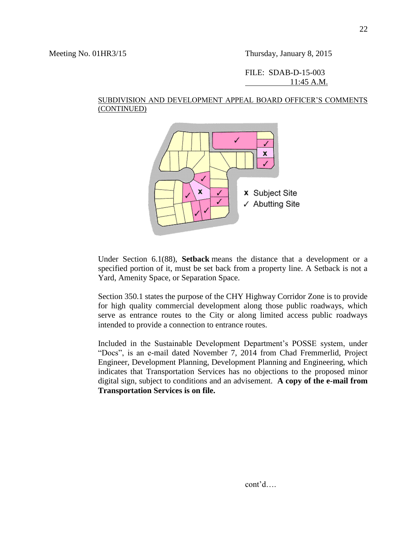#### SUBDIVISION AND DEVELOPMENT APPEAL BOARD OFFICER'S COMMENTS (CONTINUED)



Under Section 6.1(88), **Setback** means the distance that a development or a specified portion of it, must be set back from a property line. A Setback is not a Yard, Amenity Space, or Separation Space.

Section 350.1 states the purpose of the CHY Highway Corridor Zone is to provide for high quality commercial development along those public roadways, which serve as entrance routes to the City or along limited access public roadways intended to provide a connection to entrance routes.

Included in the Sustainable Development Department's POSSE system, under "Docs", is an e-mail dated November 7, 2014 from Chad Fremmerlid, Project Engineer, Development Planning, Development Planning and Engineering, which indicates that Transportation Services has no objections to the proposed minor digital sign, subject to conditions and an advisement. **A copy of the e-mail from Transportation Services is on file.**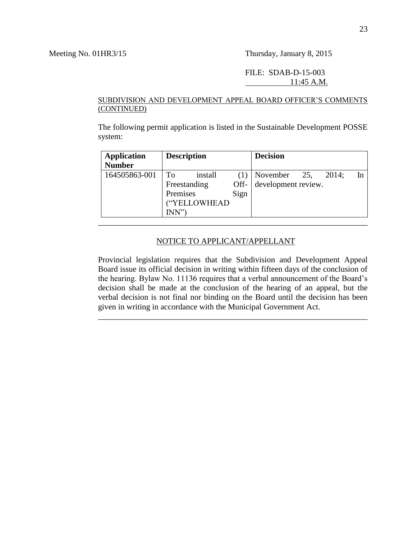#### FILE: SDAB-D-15-003 11:45 A.M.

#### SUBDIVISION AND DEVELOPMENT APPEAL BOARD OFFICER'S COMMENTS (CONTINUED)

The following permit application is listed in the Sustainable Development POSSE system:

| <b>Application</b><br><b>Number</b> | <b>Description</b>                                                |              | <b>Decision</b>                 |     |       |    |
|-------------------------------------|-------------------------------------------------------------------|--------------|---------------------------------|-----|-------|----|
| 164505863-001                       | install<br>To<br>Freestanding<br>Premises<br>"YELLOWHEAD<br>INN'' | Off-<br>Sign | November<br>development review. | 25, | 2014: | In |

#### NOTICE TO APPLICANT/APPELLANT

Provincial legislation requires that the Subdivision and Development Appeal Board issue its official decision in writing within fifteen days of the conclusion of the hearing. Bylaw No. 11136 requires that a verbal announcement of the Board's decision shall be made at the conclusion of the hearing of an appeal, but the verbal decision is not final nor binding on the Board until the decision has been given in writing in accordance with the Municipal Government Act.

\_\_\_\_\_\_\_\_\_\_\_\_\_\_\_\_\_\_\_\_\_\_\_\_\_\_\_\_\_\_\_\_\_\_\_\_\_\_\_\_\_\_\_\_\_\_\_\_\_\_\_\_\_\_\_\_\_\_\_\_\_\_\_\_\_\_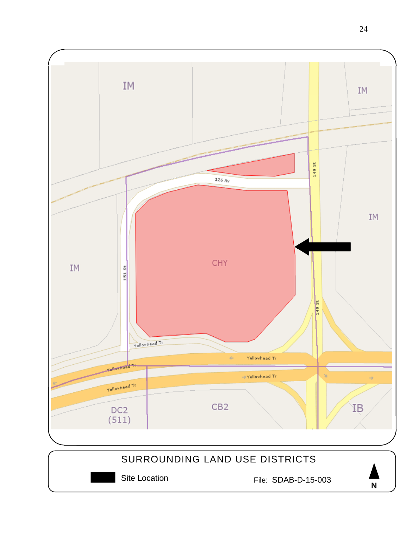